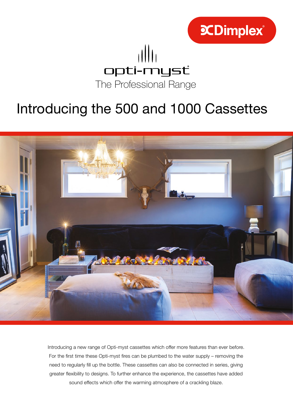

## opti-mysť The Professional Range

## Introducing the 500 and 1000 Cassettes



Introducing a new range of Opti-myst cassettes which offer more features than ever before. For the first time these Opti-myst fires can be plumbed to the water supply – removing the need to regularly fill up the bottle. These cassettes can also be connected in series, giving greater flexibility to designs. To further enhance the experience, the cassettes have added sound effects which offer the warming atmosphere of a crackling blaze.